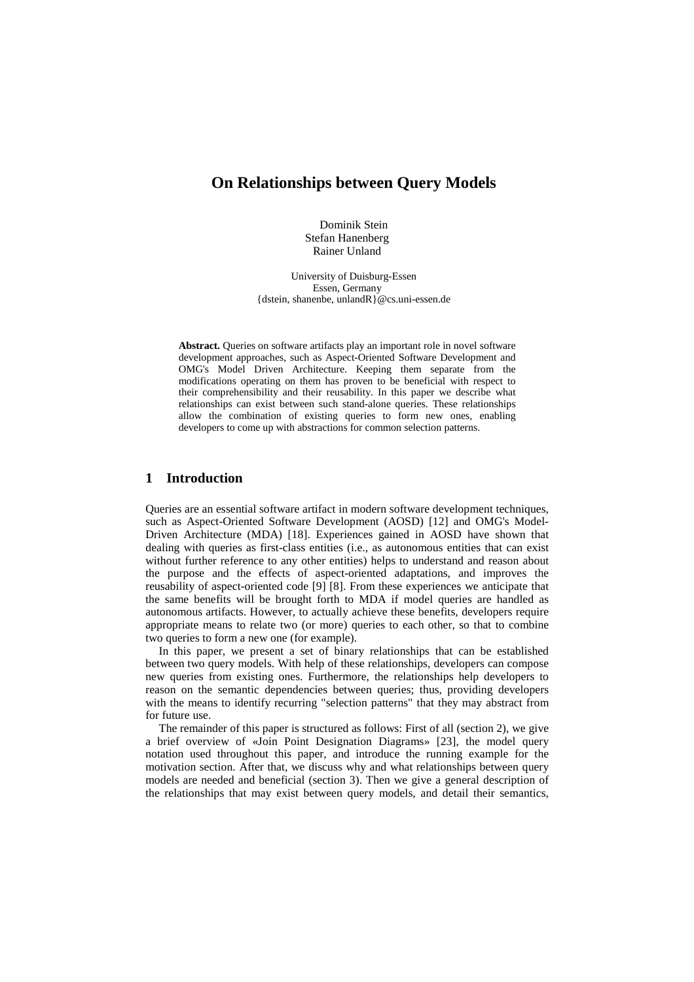# **On Relationships between Query Models**

Dominik Stein Stefan Hanenberg Rainer Unland

University of Duisburg-Essen Essen, Germany {dstein, shanenbe, unlandR}@cs.uni-essen.de

**Abstract.** Queries on software artifacts play an important role in novel software development approaches, such as Aspect-Oriented Software Development and OMG's Model Driven Architecture. Keeping them separate from the modifications operating on them has proven to be beneficial with respect to their comprehensibility and their reusability. In this paper we describe what relationships can exist between such stand-alone queries. These relationships allow the combination of existing queries to form new ones, enabling developers to come up with abstractions for common selection patterns.

# **1 Introduction**

Queries are an essential software artifact in modern software development techniques, such as Aspect-Oriented Software Development (AOSD) [12] and OMG's Model-Driven Architecture (MDA) [18]. Experiences gained in AOSD have shown that dealing with queries as first-class entities (i.e., as autonomous entities that can exist without further reference to any other entities) helps to understand and reason about the purpose and the effects of aspect-oriented adaptations, and improves the reusability of aspect-oriented code [9] [8]. From these experiences we anticipate that the same benefits will be brought forth to MDA if model queries are handled as autonomous artifacts. However, to actually achieve these benefits, developers require appropriate means to relate two (or more) queries to each other, so that to combine two queries to form a new one (for example).

In this paper, we present a set of binary relationships that can be established between two query models. With help of these relationships, developers can compose new queries from existing ones. Furthermore, the relationships help developers to reason on the semantic dependencies between queries; thus, providing developers with the means to identify recurring "selection patterns" that they may abstract from for future use.

The remainder of this paper is structured as follows: First of all (section 2), we give a brief overview of «Join Point Designation Diagrams» [23], the model query notation used throughout this paper, and introduce the running example for the motivation section. After that, we discuss why and what relationships between query models are needed and beneficial (section 3). Then we give a general description of the relationships that may exist between query models, and detail their semantics,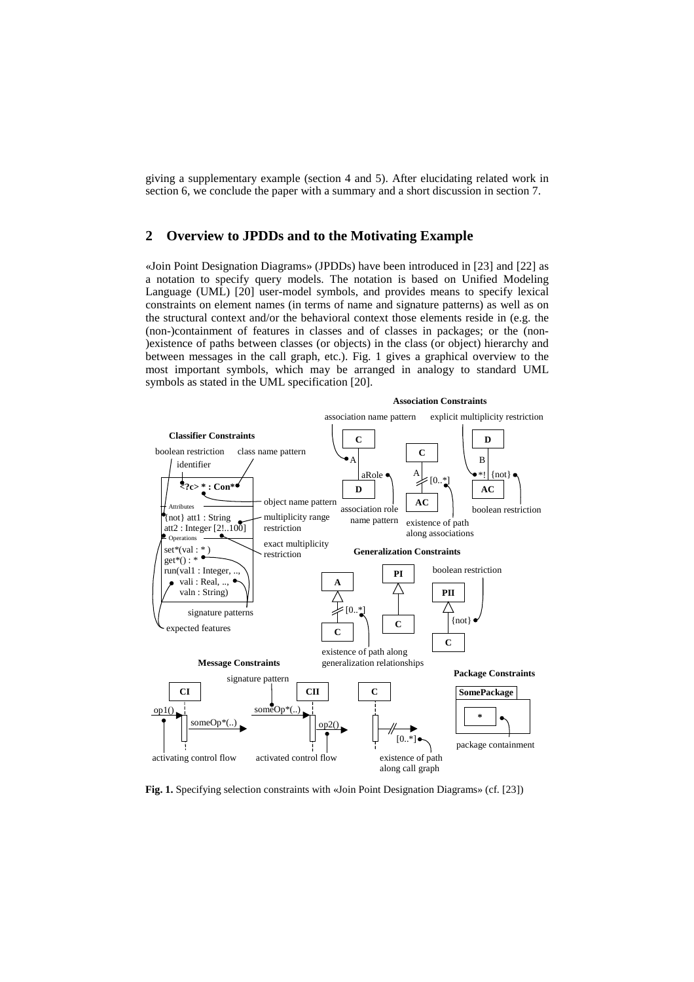giving a supplementary example (section 4 and 5). After elucidating related work in section 6, we conclude the paper with a summary and a short discussion in section 7.

## **2 Overview to JPDDs and to the Motivating Example**

«Join Point Designation Diagrams» (JPDDs) have been introduced in [23] and [22] as a notation to specify query models. The notation is based on Unified Modeling Language (UML) [20] user-model symbols, and provides means to specify lexical constraints on element names (in terms of name and signature patterns) as well as on the structural context and/or the behavioral context those elements reside in (e.g. the (non-)containment of features in classes and of classes in packages; or the (non- )existence of paths between classes (or objects) in the class (or object) hierarchy and between messages in the call graph, etc.). Fig. 1 gives a graphical overview to the most important symbols, which may be arranged in analogy to standard UML symbols as stated in the UML specification [20].



Fig. 1. Specifying selection constraints with «Join Point Designation Diagrams» (cf. [23])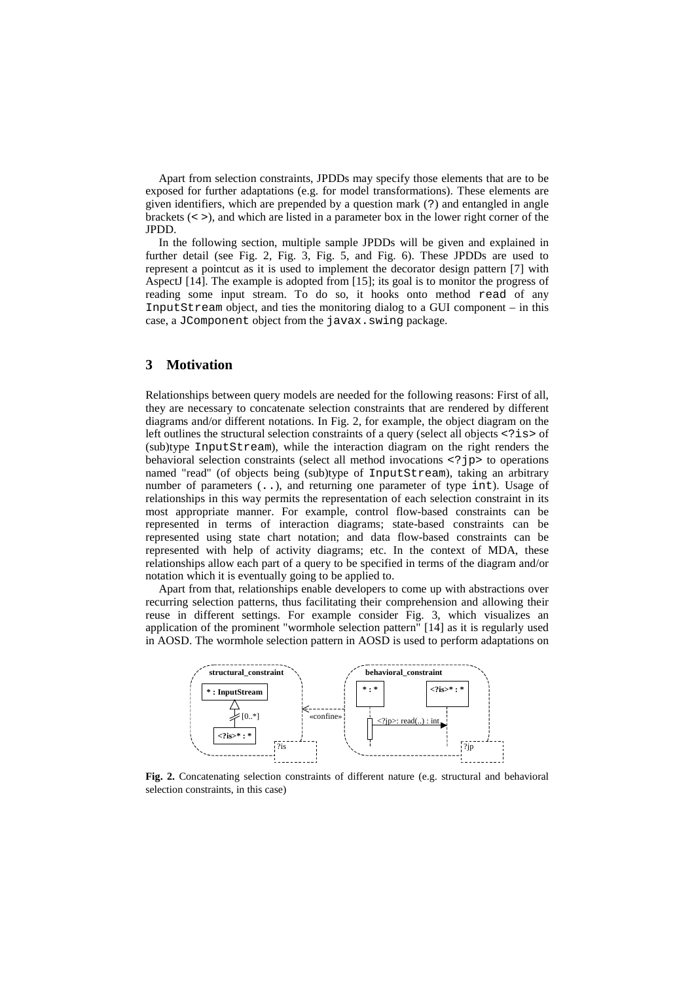Apart from selection constraints, JPDDs may specify those elements that are to be exposed for further adaptations (e.g. for model transformations). These elements are given identifiers, which are prepended by a question mark (?) and entangled in angle brackets (< >), and which are listed in a parameter box in the lower right corner of the JPDD.

In the following section, multiple sample JPDDs will be given and explained in further detail (see Fig. 2, Fig. 3, Fig. 5, and Fig. 6). These JPDDs are used to represent a pointcut as it is used to implement the decorator design pattern [7] with AspectJ [14]. The example is adopted from [15]; its goal is to monitor the progress of reading some input stream. To do so, it hooks onto method read of any InputStream object, and ties the monitoring dialog to a GUI component – in this case, a JComponent object from the javax.swing package.

## **3 Motivation**

Relationships between query models are needed for the following reasons: First of all, they are necessary to concatenate selection constraints that are rendered by different diagrams and/or different notations. In Fig. 2, for example, the object diagram on the left outlines the structural selection constraints of a query (select all objects <?is> of (sub)type InputStream), while the interaction diagram on the right renders the behavioral selection constraints (select all method invocations <?jp> to operations named "read" (of objects being (sub)type of InputStream), taking an arbitrary number of parameters  $( \ldots )$ , and returning one parameter of type int). Usage of relationships in this way permits the representation of each selection constraint in its most appropriate manner. For example, control flow-based constraints can be represented in terms of interaction diagrams; state-based constraints can be represented using state chart notation; and data flow-based constraints can be represented with help of activity diagrams; etc. In the context of MDA, these relationships allow each part of a query to be specified in terms of the diagram and/or notation which it is eventually going to be applied to.

Apart from that, relationships enable developers to come up with abstractions over recurring selection patterns, thus facilitating their comprehension and allowing their reuse in different settings. For example consider Fig. 3, which visualizes an application of the prominent "wormhole selection pattern" [14] as it is regularly used in AOSD. The wormhole selection pattern in AOSD is used to perform adaptations on



**Fig. 2.** Concatenating selection constraints of different nature (e.g. structural and behavioral selection constraints, in this case)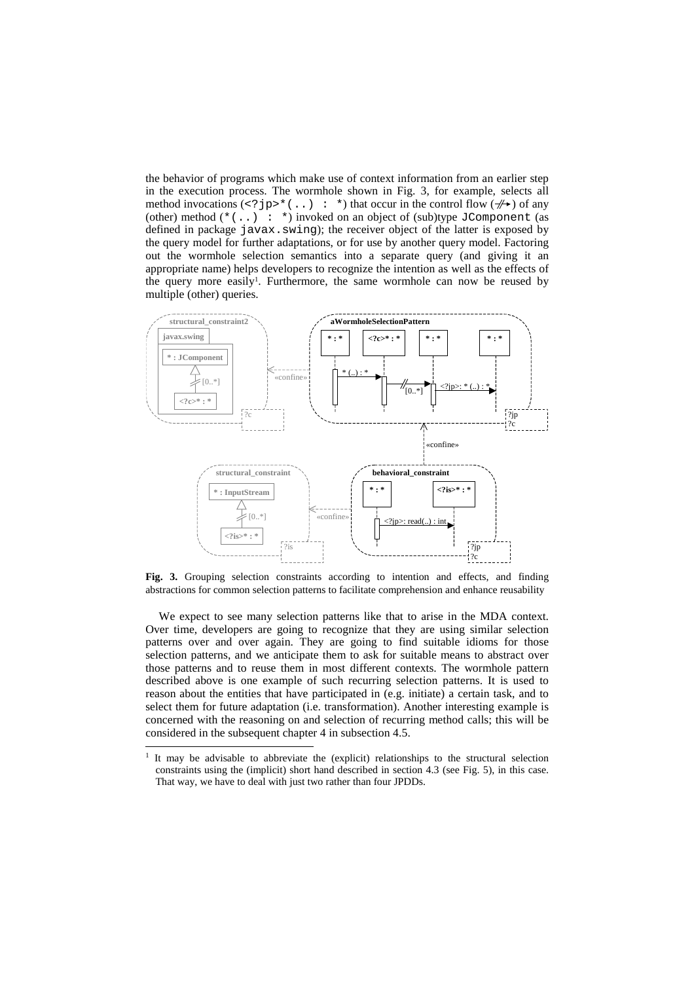the behavior of programs which make use of context information from an earlier step in the execution process. The wormhole shown in Fig. 3, for example, selects all method invocations  $(\langle ? \text{jp} \rangle^* (\dots) : *)$  that occur in the control flow  $(\# *)$  of any (other) method  $(* (...) : *)$  invoked on an object of (sub)type JComponent (as defined in package javax.swing); the receiver object of the latter is exposed by the query model for further adaptations, or for use by another query model. Factoring out the wormhole selection semantics into a separate query (and giving it an appropriate name) helps developers to recognize the intention as well as the effects of the query more easily<sup>1</sup>. Furthermore, the same wormhole can now be reused by multiple (other) queries.



**Fig. 3.** Grouping selection constraints according to intention and effects, and finding abstractions for common selection patterns to facilitate comprehension and enhance reusability

We expect to see many selection patterns like that to arise in the MDA context. Over time, developers are going to recognize that they are using similar selection patterns over and over again. They are going to find suitable idioms for those selection patterns, and we anticipate them to ask for suitable means to abstract over those patterns and to reuse them in most different contexts. The wormhole pattern described above is one example of such recurring selection patterns. It is used to reason about the entities that have participated in (e.g. initiate) a certain task, and to select them for future adaptation (i.e. transformation). Another interesting example is concerned with the reasoning on and selection of recurring method calls; this will be considered in the subsequent chapter 4 in subsection 4.5.

l

<sup>1</sup> It may be advisable to abbreviate the (explicit) relationships to the structural selection constraints using the (implicit) short hand described in section 4.3 (see Fig. 5), in this case. That way, we have to deal with just two rather than four JPDDs.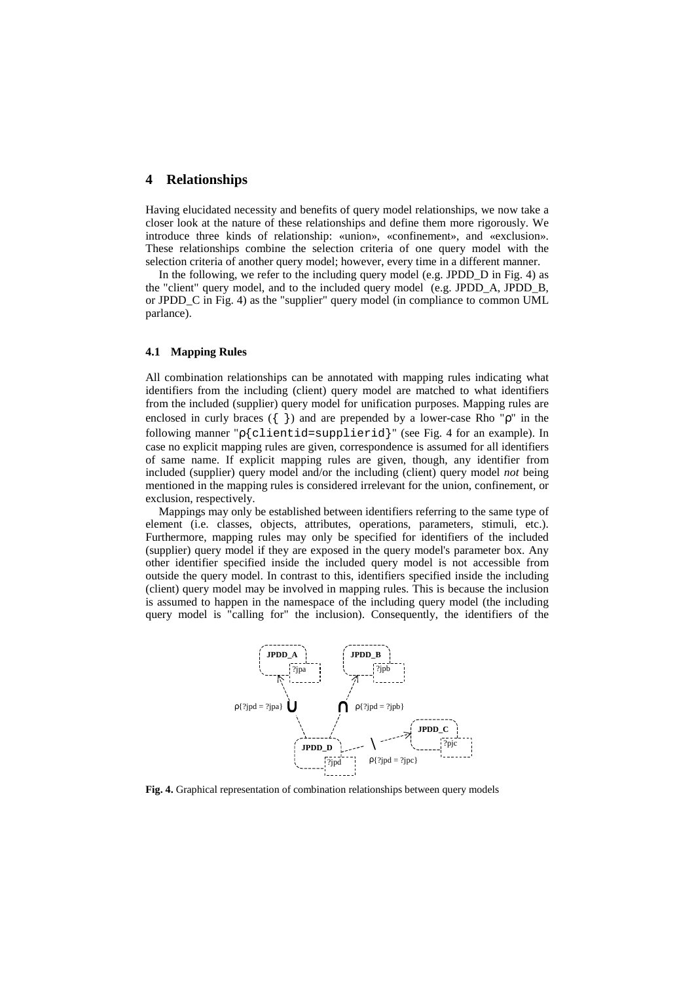### **4 Relationships**

Having elucidated necessity and benefits of query model relationships, we now take a closer look at the nature of these relationships and define them more rigorously. We introduce three kinds of relationship: «union», «confinement», and «exclusion». These relationships combine the selection criteria of one query model with the selection criteria of another query model; however, every time in a different manner.

In the following, we refer to the including query model (e.g. JPDD  $\overline{D}$  in Fig. 4) as the "client" query model, and to the included query model (e.g. JPDD\_A, JPDD\_B, or JPDD\_C in Fig. 4) as the "supplier" query model (in compliance to common UML parlance).

#### **4.1 Mapping Rules**

All combination relationships can be annotated with mapping rules indicating what identifiers from the including (client) query model are matched to what identifiers from the included (supplier) query model for unification purposes. Mapping rules are enclosed in curly braces ( $\{\}$ ) and are prepended by a lower-case Rho " $\rho$ " in the following manner "ρ{clientid=supplierid}" (see Fig. 4 for an example). In case no explicit mapping rules are given, correspondence is assumed for all identifiers of same name. If explicit mapping rules are given, though, any identifier from included (supplier) query model and/or the including (client) query model *not* being mentioned in the mapping rules is considered irrelevant for the union, confinement, or exclusion, respectively.

Mappings may only be established between identifiers referring to the same type of element (i.e. classes, objects, attributes, operations, parameters, stimuli, etc.). Furthermore, mapping rules may only be specified for identifiers of the included (supplier) query model if they are exposed in the query model's parameter box. Any other identifier specified inside the included query model is not accessible from outside the query model. In contrast to this, identifiers specified inside the including (client) query model may be involved in mapping rules. This is because the inclusion is assumed to happen in the namespace of the including query model (the including query model is "calling for" the inclusion). Consequently, the identifiers of the



**Fig. 4.** Graphical representation of combination relationships between query models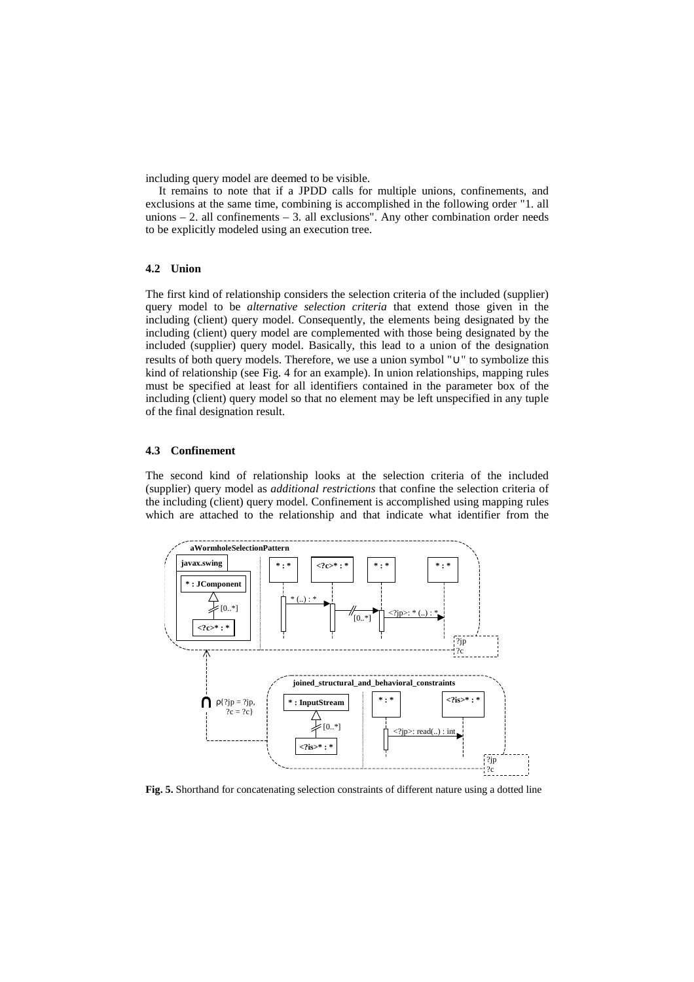including query model are deemed to be visible.

It remains to note that if a JPDD calls for multiple unions, confinements, and exclusions at the same time, combining is accomplished in the following order "1. all unions – 2. all confinements – 3. all exclusions". Any other combination order needs to be explicitly modeled using an execution tree.

## **4.2 Union**

The first kind of relationship considers the selection criteria of the included (supplier) query model to be *alternative selection criteria* that extend those given in the including (client) query model. Consequently, the elements being designated by the including (client) query model are complemented with those being designated by the included (supplier) query model. Basically, this lead to a union of the designation results of both query models. Therefore, we use a union symbol "∪" to symbolize this kind of relationship (see Fig. 4 for an example). In union relationships, mapping rules must be specified at least for all identifiers contained in the parameter box of the including (client) query model so that no element may be left unspecified in any tuple of the final designation result.

#### **4.3 Confinement**

The second kind of relationship looks at the selection criteria of the included (supplier) query model as *additional restrictions* that confine the selection criteria of the including (client) query model. Confinement is accomplished using mapping rules which are attached to the relationship and that indicate what identifier from the



Fig. 5. Shorthand for concatenating selection constraints of different nature using a dotted line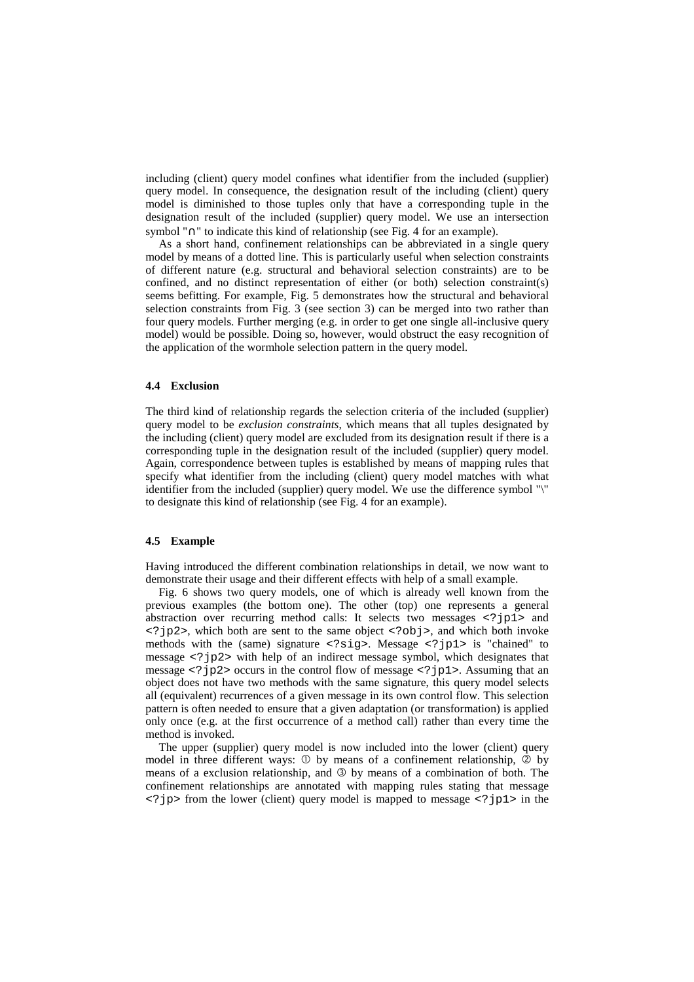including (client) query model confines what identifier from the included (supplier) query model. In consequence, the designation result of the including (client) query model is diminished to those tuples only that have a corresponding tuple in the designation result of the included (supplier) query model. We use an intersection symbol "∩" to indicate this kind of relationship (see Fig. 4 for an example).

As a short hand, confinement relationships can be abbreviated in a single query model by means of a dotted line. This is particularly useful when selection constraints of different nature (e.g. structural and behavioral selection constraints) are to be confined, and no distinct representation of either (or both) selection constraint(s) seems befitting. For example, Fig. 5 demonstrates how the structural and behavioral selection constraints from Fig. 3 (see section 3) can be merged into two rather than four query models. Further merging (e.g. in order to get one single all-inclusive query model) would be possible. Doing so, however, would obstruct the easy recognition of the application of the wormhole selection pattern in the query model.

#### **4.4 Exclusion**

The third kind of relationship regards the selection criteria of the included (supplier) query model to be *exclusion constraints*, which means that all tuples designated by the including (client) query model are excluded from its designation result if there is a corresponding tuple in the designation result of the included (supplier) query model. Again, correspondence between tuples is established by means of mapping rules that specify what identifier from the including (client) query model matches with what identifier from the included (supplier) query model. We use the difference symbol "\" to designate this kind of relationship (see Fig. 4 for an example).

## **4.5 Example**

Having introduced the different combination relationships in detail, we now want to demonstrate their usage and their different effects with help of a small example.

Fig. 6 shows two query models, one of which is already well known from the previous examples (the bottom one). The other (top) one represents a general abstraction over recurring method calls: It selects two messages <?jp1> and <?jp2>, which both are sent to the same object <?obj>, and which both invoke methods with the (same) signature  $\langle$ ?sig>. Message  $\langle$ ?jp1> is "chained" to message <?jp2> with help of an indirect message symbol, which designates that message <?jp2> occurs in the control flow of message <?jp1>. Assuming that an object does not have two methods with the same signature, this query model selects all (equivalent) recurrences of a given message in its own control flow. This selection pattern is often needed to ensure that a given adaptation (or transformation) is applied only once (e.g. at the first occurrence of a method call) rather than every time the method is invoked.

The upper (supplier) query model is now included into the lower (client) query model in three different ways:  $\mathbb D$  by means of a confinement relationship,  $\mathbb \hat{D}$  by means of a exclusion relationship, and  $\circled{S}$  by means of a combination of both. The confinement relationships are annotated with mapping rules stating that message  $\langle$ ? ip> from the lower (client) query model is mapped to message  $\langle$ ? ip1> in the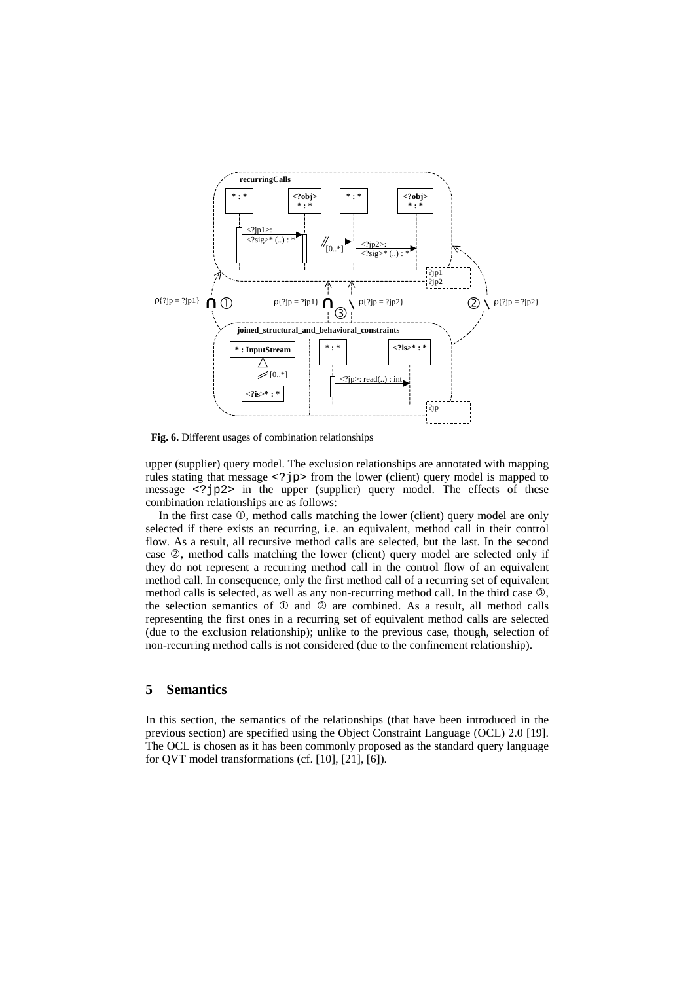

**Fig. 6.** Different usages of combination relationships

upper (supplier) query model. The exclusion relationships are annotated with mapping rules stating that message <?jp> from the lower (client) query model is mapped to message <?jp2> in the upper (supplier) query model. The effects of these combination relationships are as follows:

In the first case  $\mathbb{O}$ , method calls matching the lower (client) query model are only selected if there exists an recurring, i.e. an equivalent, method call in their control flow. As a result, all recursive method calls are selected, but the last. In the second case  $@$ , method calls matching the lower (client) query model are selected only if they do not represent a recurring method call in the control flow of an equivalent method call. In consequence, only the first method call of a recurring set of equivalent method calls is selected, as well as any non-recurring method call. In the third case  $\circledcirc$ , the selection semantics of  $\overline{O}$  and  $\overline{Q}$  are combined. As a result, all method calls representing the first ones in a recurring set of equivalent method calls are selected (due to the exclusion relationship); unlike to the previous case, though, selection of non-recurring method calls is not considered (due to the confinement relationship).

## **5 Semantics**

In this section, the semantics of the relationships (that have been introduced in the previous section) are specified using the Object Constraint Language (OCL) 2.0 [19]. The OCL is chosen as it has been commonly proposed as the standard query language for QVT model transformations (cf. [10], [21], [6]).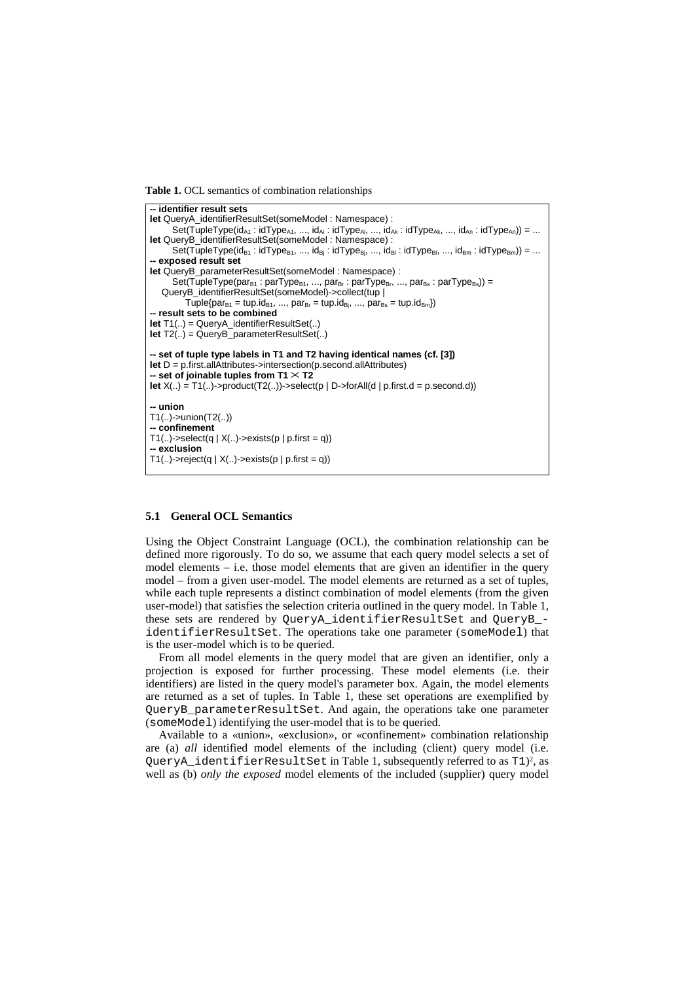**Table 1.** OCL semantics of combination relationships

```
-- identifier result sets
let QueryA_identifierResultSet(someModel : Namespace) :
       \sf{Set}(\mathsf{TupleType}(\mathsf{id}_{\sf A1} : \mathsf{idType}_{\sf A1}, \dots, \mathsf{id}_{\sf A} : \mathsf{idType}_{\sf A_i} : \mathsf{id}_\sf A_k : \mathsf{idType}_{\sf Ak}, \dots, \mathsf{id}_{\sf An} : \mathsf{idType}_{\sf An})) = ...let QueryB_identifierResultSet(someModel : Namespace) :
      Set(TupleType(id_{B1}: idType_{B1}, ..., id_{Bj}: idType_{Bj}, ..., id_{Bl}: idType_{Bl}, ..., id_{Bm}: idType_{Bm})) = ...-- exposed result set
let QueryB_parameterResultSet(someModel : Namespace) :
       Set(TupleType(par<sub>B1</sub>: parType<sub>B1</sub>, ..., par<sub>Br</sub>: parType<sub>Br</sub>, ..., par<sub>Bs</sub>: parType<sub>Bs</sub>)) =
    QueryB_identifierResultSet(someModel)->collect(tup |
           Tuple{par}_{B1} = tup.id_{B1}, ..., par_{Br} = tup.id_{Bi}, ..., par_{Bs} = tup.id_{Bm})-- result sets to be combined
let T1(..) = QueryA_identifierResultSet(..)
let T2(..) = QueryB_parameterResultSet(..)
-- set of tuple type labels in T1 and T2 having identical names (cf. [3])
let D = p.first.allAttributes->intersection(p.second.allAttributes)
-- set of joinable tuples from T1 \times T2
let X(.) = T1(.)->product(T2(.))->select(p | D->forAll(d | p.first.d = p.second.d))
-- union
T1(..)->union(T2(..))
-- confinement
T1(..)->select(q | X(..)->exists(p | p.first = q))
-- exclusion
T1(..)->reject(q | X(.)->exists(p | p.first = q))
```
#### **5.1 General OCL Semantics**

Using the Object Constraint Language (OCL), the combination relationship can be defined more rigorously. To do so, we assume that each query model selects a set of model elements – i.e. those model elements that are given an identifier in the query model – from a given user-model. The model elements are returned as a set of tuples, while each tuple represents a distinct combination of model elements (from the given user-model) that satisfies the selection criteria outlined in the query model. In Table 1, these sets are rendered by QueryA\_identifierResultSet and QueryB\_ identifierResultSet. The operations take one parameter (someModel) that is the user-model which is to be queried.

From all model elements in the query model that are given an identifier, only a projection is exposed for further processing. These model elements (i.e. their identifiers) are listed in the query model's parameter box. Again, the model elements are returned as a set of tuples. In Table 1, these set operations are exemplified by QueryB\_parameterResultSet. And again, the operations take one parameter (someModel) identifying the user-model that is to be queried.

Available to a «union», «exclusion», or «confinement» combination relationship are (a) *all* identified model elements of the including (client) query model (i.e. QueryA\_identifierResultSet in Table 1, subsequently referred to as T1)<sup>2</sup>, as well as (b) *only the exposed* model elements of the included (supplier) query model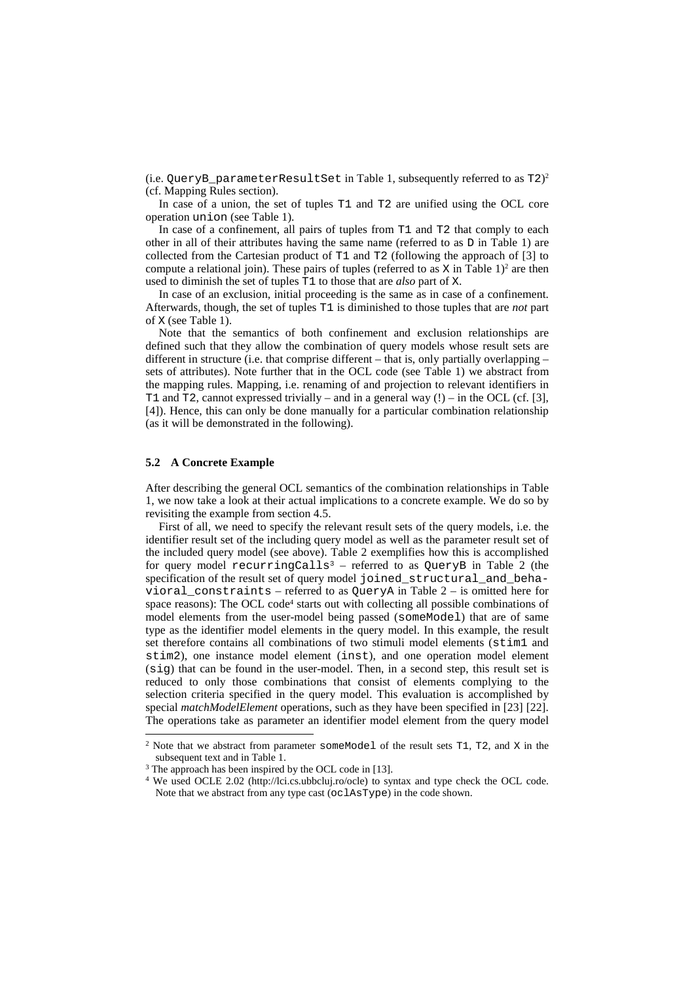(i.e. QueryB\_parameterResultSet in Table 1, subsequently referred to as T2) 2 (cf. Mapping Rules section).

In case of a union, the set of tuples T1 and T2 are unified using the OCL core operation union (see Table 1).

In case of a confinement, all pairs of tuples from T1 and T2 that comply to each other in all of their attributes having the same name (referred to as D in Table 1) are collected from the Cartesian product of T1 and T2 (following the approach of [3] to compute a relational join). These pairs of tuples (referred to as  $X$  in Table 1)<sup>2</sup> are then used to diminish the set of tuples T1 to those that are *also* part of X.

In case of an exclusion, initial proceeding is the same as in case of a confinement. Afterwards, though, the set of tuples T1 is diminished to those tuples that are *not* part of X (see Table 1).

Note that the semantics of both confinement and exclusion relationships are defined such that they allow the combination of query models whose result sets are different in structure (i.e. that comprise different – that is, only partially overlapping – sets of attributes). Note further that in the OCL code (see Table 1) we abstract from the mapping rules. Mapping, i.e. renaming of and projection to relevant identifiers in T1 and T2, cannot expressed trivially – and in a general way  $(!)$  – in the OCL (cf. [3], [4]). Hence, this can only be done manually for a particular combination relationship (as it will be demonstrated in the following).

#### **5.2 A Concrete Example**

l

After describing the general OCL semantics of the combination relationships in Table 1, we now take a look at their actual implications to a concrete example. We do so by revisiting the example from section 4.5.

First of all, we need to specify the relevant result sets of the query models, i.e. the identifier result set of the including query model as well as the parameter result set of the included query model (see above). Table 2 exemplifies how this is accomplished for query model recurringCalls<sup>3</sup> – referred to as QueryB in Table 2 (the specification of the result set of query model joined\_structural\_and\_behavioral constraints – referred to as QueryA in Table  $2$  – is omitted here for space reasons): The OCL code<sup>4</sup> starts out with collecting all possible combinations of model elements from the user-model being passed (someModel) that are of same type as the identifier model elements in the query model. In this example, the result set therefore contains all combinations of two stimuli model elements (stim1 and stim2), one instance model element (inst), and one operation model element (sig) that can be found in the user-model. Then, in a second step, this result set is reduced to only those combinations that consist of elements complying to the selection criteria specified in the query model. This evaluation is accomplished by special *matchModelElement* operations, such as they have been specified in [23] [22]. The operations take as parameter an identifier model element from the query model

<sup>&</sup>lt;sup>2</sup> Note that we abstract from parameter someModel of the result sets T1, T2, and X in the subsequent text and in Table 1.

<sup>&</sup>lt;sup>3</sup> The approach has been inspired by the OCL code in [13].

<sup>&</sup>lt;sup>4</sup> We used OCLE 2.02 (http://lci.cs.ubbcluj.ro/ocle) to syntax and type check the OCL code. Note that we abstract from any type cast (oclAsType) in the code shown.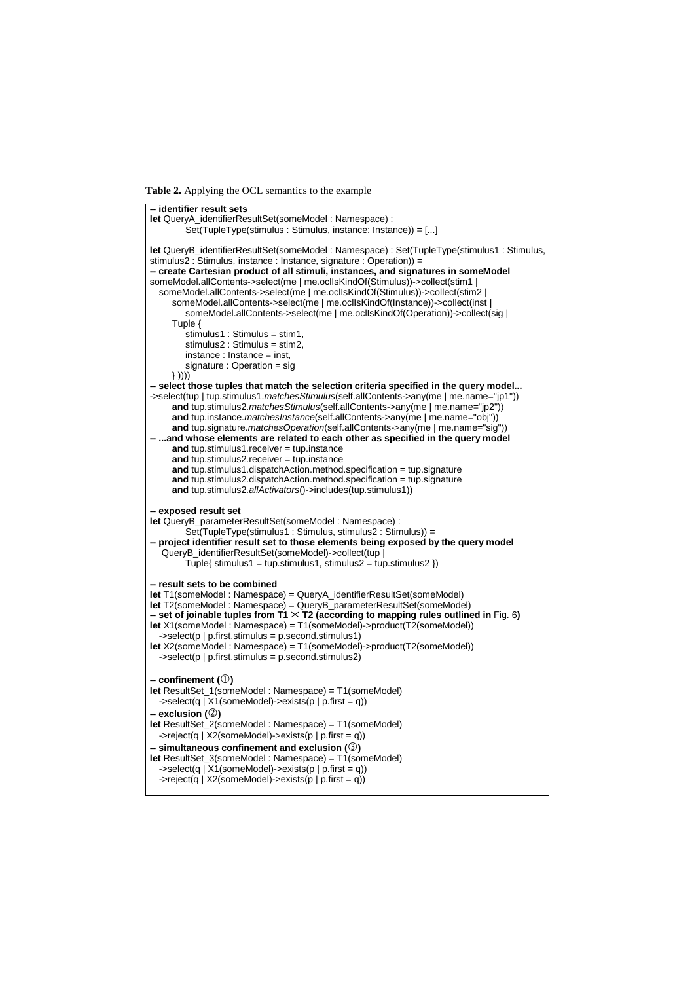**Table 2.** Applying the OCL semantics to the example

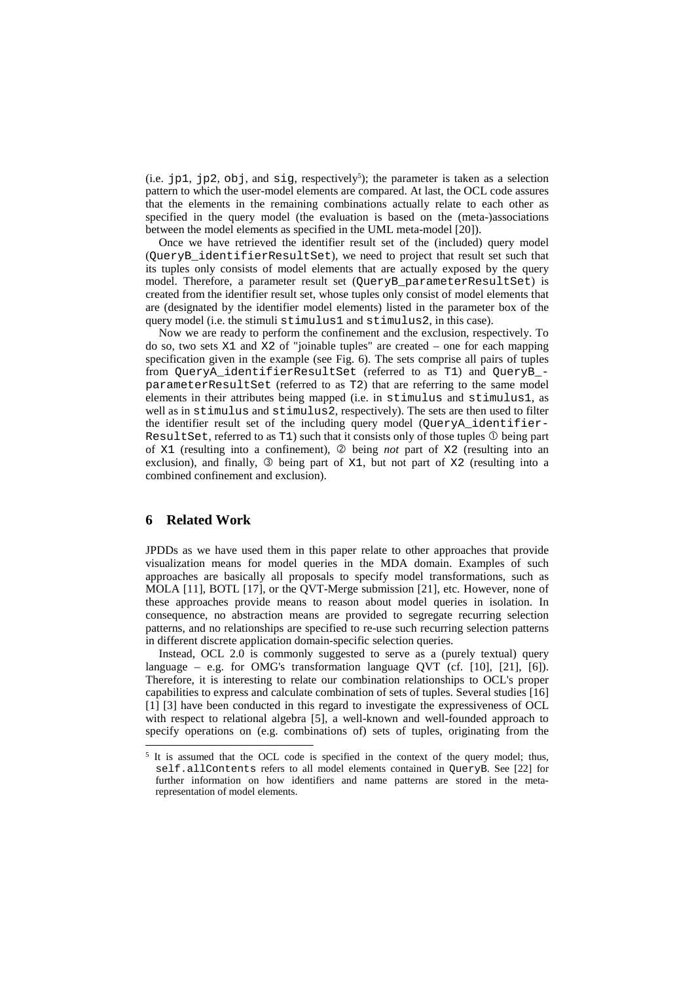$(i.e.$  jp1, jp2,  $obj$ , and  $sig$ , respectively<sup>5</sup>); the parameter is taken as a selection pattern to which the user-model elements are compared. At last, the OCL code assures that the elements in the remaining combinations actually relate to each other as specified in the query model (the evaluation is based on the (meta-)associations between the model elements as specified in the UML meta-model [20]).

Once we have retrieved the identifier result set of the (included) query model (QueryB\_identifierResultSet), we need to project that result set such that its tuples only consists of model elements that are actually exposed by the query model. Therefore, a parameter result set (QueryB\_parameterResultSet) is created from the identifier result set, whose tuples only consist of model elements that are (designated by the identifier model elements) listed in the parameter box of the query model (i.e. the stimuli stimulus1 and stimulus2, in this case).

Now we are ready to perform the confinement and the exclusion, respectively. To do so, two sets X1 and X2 of "joinable tuples" are created – one for each mapping specification given in the example (see Fig. 6). The sets comprise all pairs of tuples from QueryA\_identifierResultSet (referred to as T1) and QueryB\_ parameterResultSet (referred to as T2) that are referring to the same model elements in their attributes being mapped (i.e. in stimulus and stimulus1, as well as in stimulus and stimulus2, respectively). The sets are then used to filter the identifier result set of the including query model (QueryA\_identifier-ResultSet, referred to as  $T1$ ) such that it consists only of those tuples  $\mathbb O$  being part of X1 (resulting into a confinement),  $\oslash$  being *not* part of X2 (resulting into an exclusion), and finally,  $\circled{}$  being part of X1, but not part of X2 (resulting into a combined confinement and exclusion).

## **6 Related Work**

l

JPDDs as we have used them in this paper relate to other approaches that provide visualization means for model queries in the MDA domain. Examples of such approaches are basically all proposals to specify model transformations, such as MOLA [11], BOTL [17], or the QVT-Merge submission [21], etc. However, none of these approaches provide means to reason about model queries in isolation. In consequence, no abstraction means are provided to segregate recurring selection patterns, and no relationships are specified to re-use such recurring selection patterns in different discrete application domain-specific selection queries.

Instead, OCL 2.0 is commonly suggested to serve as a (purely textual) query language – e.g. for OMG's transformation language QVT (cf. [10], [21], [6]). Therefore, it is interesting to relate our combination relationships to OCL's proper capabilities to express and calculate combination of sets of tuples. Several studies [16] [1] [3] have been conducted in this regard to investigate the expressiveness of OCL with respect to relational algebra [5], a well-known and well-founded approach to specify operations on (e.g. combinations of) sets of tuples, originating from the

<sup>&</sup>lt;sup>5</sup> It is assumed that the OCL code is specified in the context of the query model; thus, self.allContents refers to all model elements contained in QueryB. See [22] for further information on how identifiers and name patterns are stored in the metarepresentation of model elements.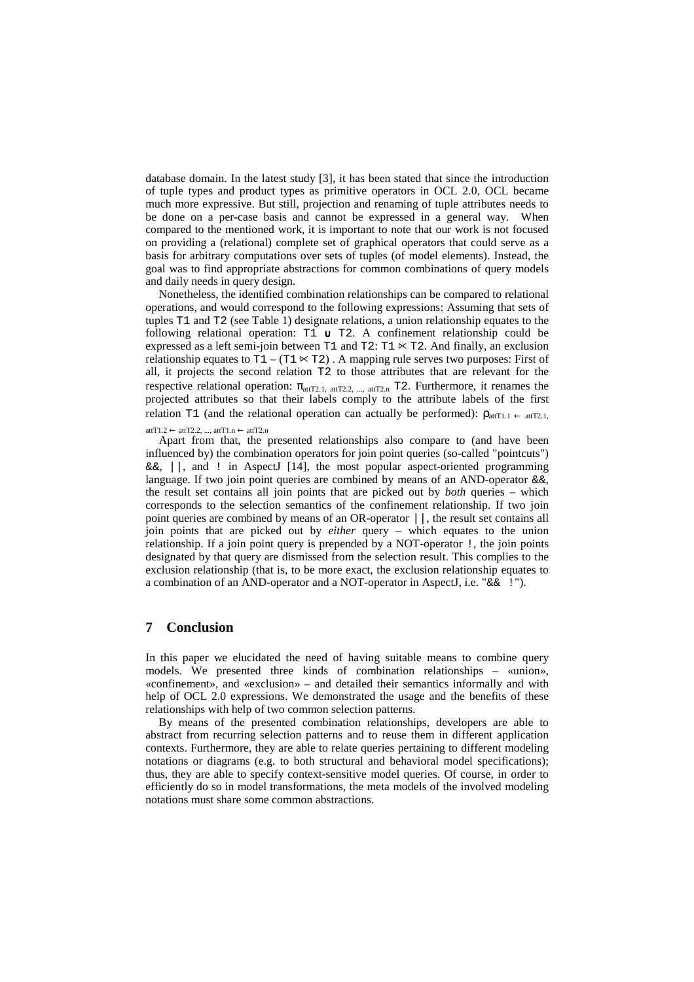database domain. In the latest study [3], it has been stated that since the introduction of tuple types and product types as primitive operators in OCL 2.0, OCL became much more expressive. But still, projection and renaming of tuple attributes needs to be done on a per-case basis and cannot be expressed in a general way. When compared to the mentioned work, it is important to note that our work is not focused on providing a (relational) complete set of graphical operators that could serve as a basis for arbitrary computations over sets of tuples (of model elements). Instead, the goal was to find appropriate abstractions for common combinations of query models and daily needs in query design.

Nonetheless, the identified combination relationships can be compared to relational operations, and would correspond to the following expressions: Assuming that sets of tuples T1 and T2 (see Table 1) designate relations, a union relationship equates to the following relational operation: T1 ∪ T2. A confinement relationship could be expressed as a left semi-join between T1 and T2: T1  $\lt$  T2. And finally, an exclusion relationship equates to  $T1 - (T1 \times T2)$ . A mapping rule serves two purposes: First of all, it projects the second relation T2 to those attributes that are relevant for the respective relational operation:  $\pi_{\text{atT2.1, atT2.2, ..., atT2.n}}$  T2. Furthermore, it renames the projected attributes so that their labels comply to the attribute labels of the first relation T1 (and the relational operation can actually be performed):  $\rho_{\text{atT1.1}} \leftarrow \text{atT2.1}$ ,  $artT1.2 \leftarrow artT2.2$  attT1.n  $\leftarrow$  attT2.n

Apart from that, the presented relationships also compare to (and have been influenced by) the combination operators for join point queries (so-called "pointcuts")  $\&\&\infty$ , | |, and ! in AspectJ [14], the most popular aspect-oriented programming language. If two join point queries are combined by means of an AND-operator  $\&\&$ , the result set contains all join points that are picked out by *both* queries – which corresponds to the selection semantics of the confinement relationship. If two join point queries are combined by means of an OR-operator | |, the result set contains all join points that are picked out by *either* query – which equates to the union relationship. If a join point query is prepended by a NOT-operator !, the join points designated by that query are dismissed from the selection result. This complies to the exclusion relationship (that is, to be more exact, the exclusion relationship equates to a combination of an AND-operator and a NOT-operator in AspectJ, i.e. "&& !").

# **7 Conclusion**

In this paper we elucidated the need of having suitable means to combine query models. We presented three kinds of combination relationships – «union», «confinement», and «exclusion» – and detailed their semantics informally and with help of OCL 2.0 expressions. We demonstrated the usage and the benefits of these relationships with help of two common selection patterns.

By means of the presented combination relationships, developers are able to abstract from recurring selection patterns and to reuse them in different application contexts. Furthermore, they are able to relate queries pertaining to different modeling notations or diagrams (e.g. to both structural and behavioral model specifications); thus, they are able to specify context-sensitive model queries. Of course, in order to efficiently do so in model transformations, the meta models of the involved modeling notations must share some common abstractions.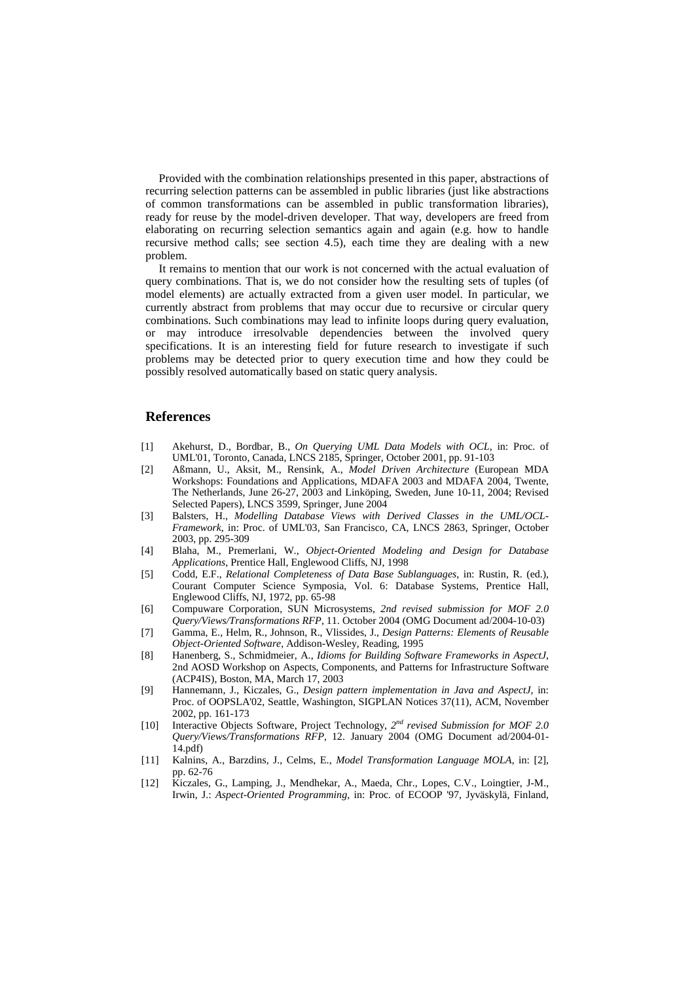Provided with the combination relationships presented in this paper, abstractions of recurring selection patterns can be assembled in public libraries (just like abstractions of common transformations can be assembled in public transformation libraries), ready for reuse by the model-driven developer. That way, developers are freed from elaborating on recurring selection semantics again and again (e.g. how to handle recursive method calls; see section 4.5), each time they are dealing with a new problem.

It remains to mention that our work is not concerned with the actual evaluation of query combinations. That is, we do not consider how the resulting sets of tuples (of model elements) are actually extracted from a given user model. In particular, we currently abstract from problems that may occur due to recursive or circular query combinations. Such combinations may lead to infinite loops during query evaluation, or may introduce irresolvable dependencies between the involved query specifications. It is an interesting field for future research to investigate if such problems may be detected prior to query execution time and how they could be possibly resolved automatically based on static query analysis.

# **References**

- [1] Akehurst, D., Bordbar, B., *On Querying UML Data Models with OCL*, in: Proc. of UML'01, Toronto, Canada, LNCS 2185, Springer, October 2001, pp. 91-103
- [2] Aßmann, U., Aksit, M., Rensink, A., *Model Driven Architecture* (European MDA Workshops: Foundations and Applications, MDAFA 2003 and MDAFA 2004, Twente, The Netherlands, June 26-27, 2003 and Linköping, Sweden, June 10-11, 2004; Revised Selected Papers), LNCS 3599, Springer, June 2004
- [3] Balsters, H., *Modelling Database Views with Derived Classes in the UML/OCL-Framework*, in: Proc. of UML'03, San Francisco, CA, LNCS 2863, Springer, October 2003, pp. 295-309
- [4] Blaha, M., Premerlani, W., *Object-Oriented Modeling and Design for Database Applications*, Prentice Hall, Englewood Cliffs, NJ, 1998
- [5] Codd, E.F., *Relational Completeness of Data Base Sublanguages*, in: Rustin, R. (ed.), Courant Computer Science Symposia, Vol. 6: Database Systems, Prentice Hall, Englewood Cliffs, NJ, 1972, pp. 65-98
- [6] Compuware Corporation, SUN Microsystems, *2nd revised submission for MOF 2.0 Query/Views/Transformations RFP*, 11. October 2004 (OMG Document ad/2004-10-03)
- [7] Gamma, E., Helm, R., Johnson, R., Vlissides, J., *Design Patterns: Elements of Reusable Object-Oriented Software*, Addison-Wesley, Reading, 1995
- [8] Hanenberg, S., Schmidmeier, A., *Idioms for Building Software Frameworks in AspectJ*, 2nd AOSD Workshop on Aspects, Components, and Patterns for Infrastructure Software (ACP4IS), Boston, MA, March 17, 2003
- [9] Hannemann, J., Kiczales, G., *Design pattern implementation in Java and AspectJ*, in: Proc. of OOPSLA'02, Seattle, Washington, SIGPLAN Notices 37(11), ACM, November 2002, pp. 161-173
- [10] Interactive Objects Software, Project Technology, *2 nd revised Submission for MOF 2.0 Query/Views/Transformations RFP*, 12. January 2004 (OMG Document ad/2004-01- 14.pdf)
- [11] Kalnins, A., Barzdins, J., Celms, E., *Model Transformation Language MOLA*, in: [2], pp. 62-76
- [12] Kiczales, G., Lamping, J., Mendhekar, A., Maeda, Chr., Lopes, C.V., Loingtier, J-M., Irwin, J.: *Aspect-Oriented Programming*, in: Proc. of ECOOP '97, Jyväskylä, Finland,